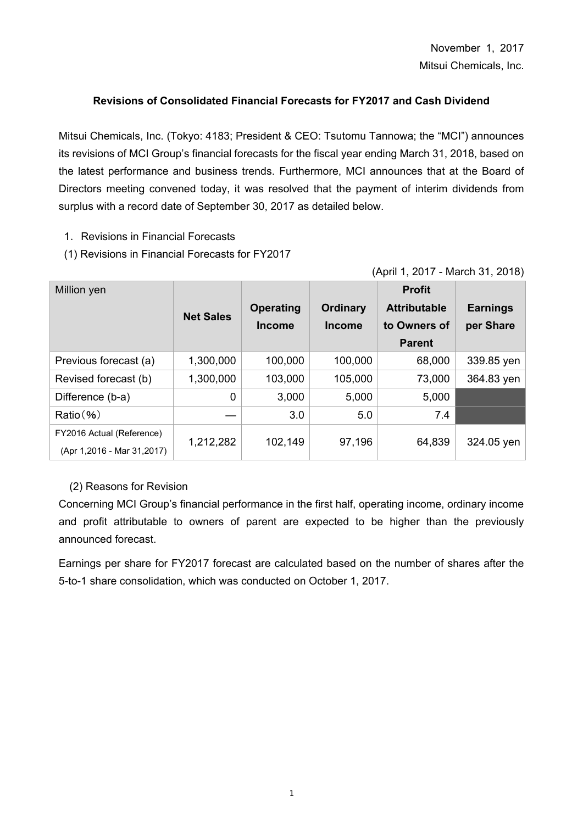# **Revisions of Consolidated Financial Forecasts for FY2017 and Cash Dividend**

Mitsui Chemicals, Inc. (Tokyo: 4183; President & CEO: Tsutomu Tannowa; the "MCI") announces its revisions of MCI Group's financial forecasts for the fiscal year ending March 31, 2018, based on the latest performance and business trends. Furthermore, MCI announces that at the Board of Directors meeting convened today, it was resolved that the payment of interim dividends from surplus with a record date of September 30, 2017 as detailed below.

- 1.Revisions in Financial Forecasts
- (1) Revisions in Financial Forecasts for FY2017

| (April 1, 2017 - March 31, 2018) |  |  |
|----------------------------------|--|--|
|                                  |  |  |

| Million yen                                             | <b>Net Sales</b> | <b>Operating</b><br><b>Income</b> | <b>Ordinary</b><br><b>Income</b> | <b>Profit</b><br><b>Attributable</b><br>to Owners of<br><b>Parent</b> | <b>Earnings</b><br>per Share |
|---------------------------------------------------------|------------------|-----------------------------------|----------------------------------|-----------------------------------------------------------------------|------------------------------|
| Previous forecast (a)                                   | 1,300,000        | 100,000                           | 100,000                          | 68,000                                                                | 339.85 yen                   |
| Revised forecast (b)                                    | 1,300,000        | 103,000                           | 105,000                          | 73,000                                                                | 364.83 yen                   |
| Difference (b-a)                                        | $\overline{0}$   | 3,000                             | 5,000                            | 5,000                                                                 |                              |
| Ratio( %)                                               |                  | 3.0                               | 5.0                              | 7.4                                                                   |                              |
| FY2016 Actual (Reference)<br>(Apr 1,2016 - Mar 31,2017) | 1,212,282        | 102,149                           | 97,196                           | 64,839                                                                | 324.05 yen                   |

## (2) Reasons for Revision

Concerning MCI Group's financial performance in the first half, operating income, ordinary income and profit attributable to owners of parent are expected to be higher than the previously announced forecast.

Earnings per share for FY2017 forecast are calculated based on the number of shares after the 5-to-1 share consolidation, which was conducted on October 1, 2017.